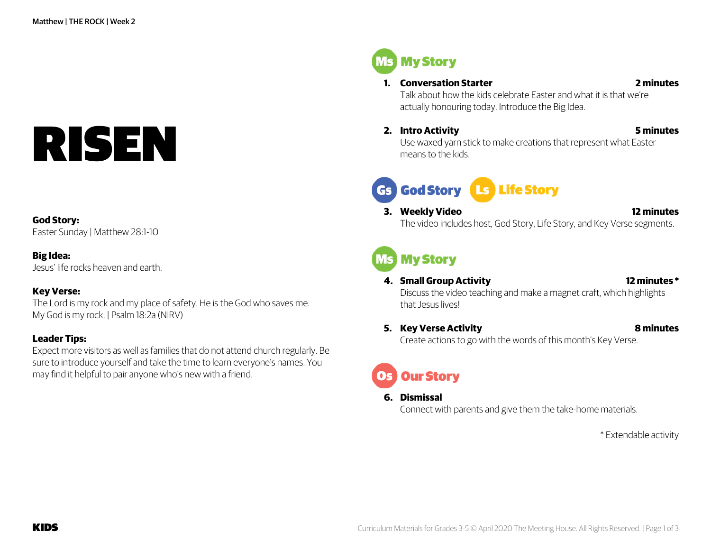# RISEN

### **God Story:**

Easter Sunday | Matthew 28:1-10

### **Big Idea:**

Jesus' life rocks heaven and earth.

### **Key Verse:**

The Lord is my rock and my place of safety. He is the God who saves me. My God is my rock. | Psalm 18:2a (NIRV)

### **Leader Tips:**

Expect more visitors as well as families that do not attend church regularly. Be sure to introduce yourself and take the time to learn everyone's names. You may find it helpful to pair anyone who's new with a friend.

**Ms** My Story

### **1. Conversation Starter 2 minutes**

Talk about how the kids celebrate Easter and what it is that we're actually honouring today. Introduce the Big Idea.

**2. Intro Activity 5 minutes**

Use waxed yarn stick to make creations that represent what Easter means to the kids.

# Gs God Story Ls Life Story

**3. Weekly Video 12 minutes** The video includes host, God Story, Life Story, and Key Verse segments.

# **MS My Story**

**4. Small Group Activity 12 minutes \***

Discuss the video teaching and make a magnet craft, which highlights that Jesus lives!

**5. Key Verse Activity 8 minutes** Create actions to go with the words of this month's Key Verse.

# **Our Story**

### **6. Dismissal**

Connect with parents and give them the take-home materials.

\* Extendable activity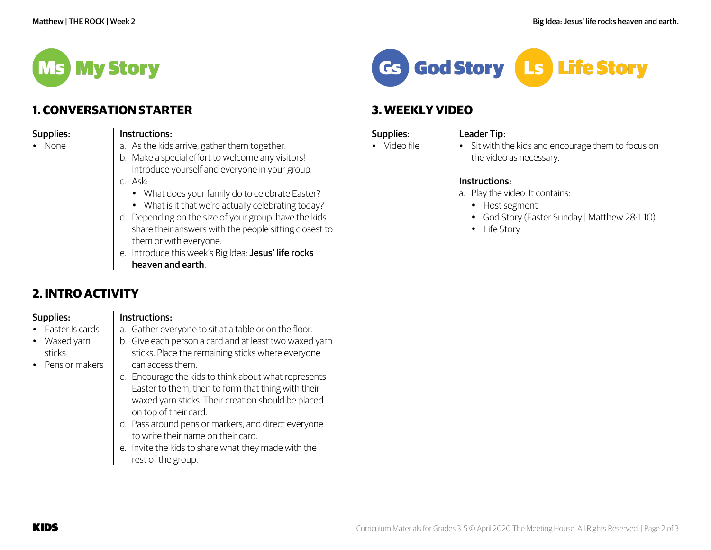

# **1. CONVERSATION STARTER**

| Supplies: |  |
|-----------|--|
|           |  |

### Instructions:

- None
- 
- a. As the kids arrive, gather them together.
- b. Make a special effort to welcome any visitors! Introduce yourself and everyone in your group.
- c. Ask:
	- What does your family do to celebrate Easter?
	- What is it that we're actually celebrating today?
- d. Depending on the size of your group, have the kids share their answers with the people sitting closest to them or with everyone.
- e. Introduce this week's Big Idea: Jesus' life rocks heaven and earth.

a. Gather everyone to sit at a table or on the floor. b. Give each person a card and at least two waxed yarn sticks. Place the remaining sticks where everyone

c. Encourage the kids to think about what represents Easter to them, then to form that thing with their waxed yarn sticks. Their creation should be placed

d. Pass around pens or markers, and direct everyone

e. Invite the kids to share what they made with the

to write their name on their card.

# **2. INTRO ACTIVITY**

Supplies:

# Instructions:

can access them.

on top of their card.

rest of the group.

• Easter Is cards

- Waxed yarn sticks
- Pens or makers

Gs God Story **Ls Life Story** 

# **3. WEEKLY VIDEO**

# Supplies:

# Leader Tip:

• Video file

• Sit with the kids and encourage them to focus on the video as necessary.

# Instructions:

- a. Play the video. It contains:
	- Host segment
	- God Story (Easter Sunday | Matthew 28:1-10)
	- Life Story